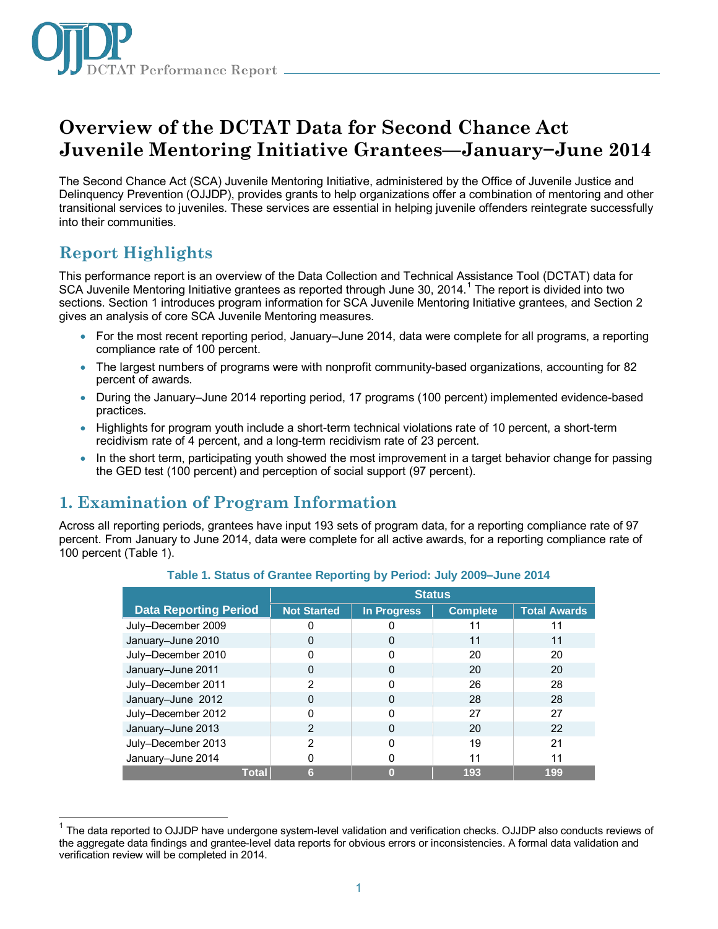

# **Overview of the DCTAT Data for Second Chance Act Juvenile Mentoring Initiative Grantees—January−June 2014**

The Second Chance Act (SCA) Juvenile Mentoring Initiative, administered by the Office of Juvenile Justice and Delinquency Prevention (OJJDP), provides grants to help organizations offer a combination of mentoring and other transitional services to juveniles. These services are essential in helping juvenile offenders reintegrate successfully into their communities.

# **Report Highlights**

This performance report is an overview of the Data Collection and Technical Assistance Tool (DCTAT) data for SCA Juvenile Mentoring Initiative grantees as reported through June 30, 20[1](#page-0-0)4.<sup>1</sup> The report is divided into two sections. Section 1 introduces program information for SCA Juvenile Mentoring Initiative grantees, and Section 2 gives an analysis of core SCA Juvenile Mentoring measures.

- For the most recent reporting period, January–June 2014, data were complete for all programs, a reporting compliance rate of 100 percent.
- The largest numbers of programs were with nonprofit community-based organizations, accounting for 82 percent of awards.
- During the January–June 2014 reporting period, 17 programs (100 percent) implemented evidence-based practices.
- Highlights for program youth include a short-term technical violations rate of 10 percent, a short-term recidivism rate of 4 percent, and a long-term recidivism rate of 23 percent.
- In the short term, participating youth showed the most improvement in a target behavior change for passing the GED test (100 percent) and perception of social support (97 percent).

# **1. Examination of Program Information**

Across all reporting periods, grantees have input 193 sets of program data, for a reporting compliance rate of 97 percent. From January to June 2014, data were complete for all active awards, for a reporting compliance rate of 100 percent (Table 1).

|                              | <b>Status</b>      |                    |                 |                     |
|------------------------------|--------------------|--------------------|-----------------|---------------------|
| <b>Data Reporting Period</b> | <b>Not Started</b> | <b>In Progress</b> | <b>Complete</b> | <b>Total Awards</b> |
| July-December 2009           |                    |                    | 11              |                     |
| January-June 2010            | ი                  | 0                  | 11              | 11                  |
| July-December 2010           |                    | O                  | 20              | 20                  |
| January-June 2011            | O                  | O                  | 20              | 20                  |
| July-December 2011           | 2                  | ი                  | 26              | 28                  |
| January-June 2012            |                    | ი                  | 28              | 28                  |
| July-December 2012           |                    | U                  | 27              | 27                  |
| January-June 2013            | 2                  | 0                  | 20              | 22                  |
| July-December 2013           | 2                  | O                  | 19              | 21                  |
| January-June 2014            |                    | ი                  | 11              | 11                  |
| <b>Total</b>                 | 6                  |                    | 193             | 199                 |

**Table 1. Status of Grantee Reporting by Period: July 2009–June 2014**

<span id="page-0-0"></span> $\overline{a}$  $1$  The data reported to OJJDP have undergone system-level validation and verification checks. OJJDP also conducts reviews of the aggregate data findings and grantee-level data reports for obvious errors or inconsistencies. A formal data validation and verification review will be completed in 2014.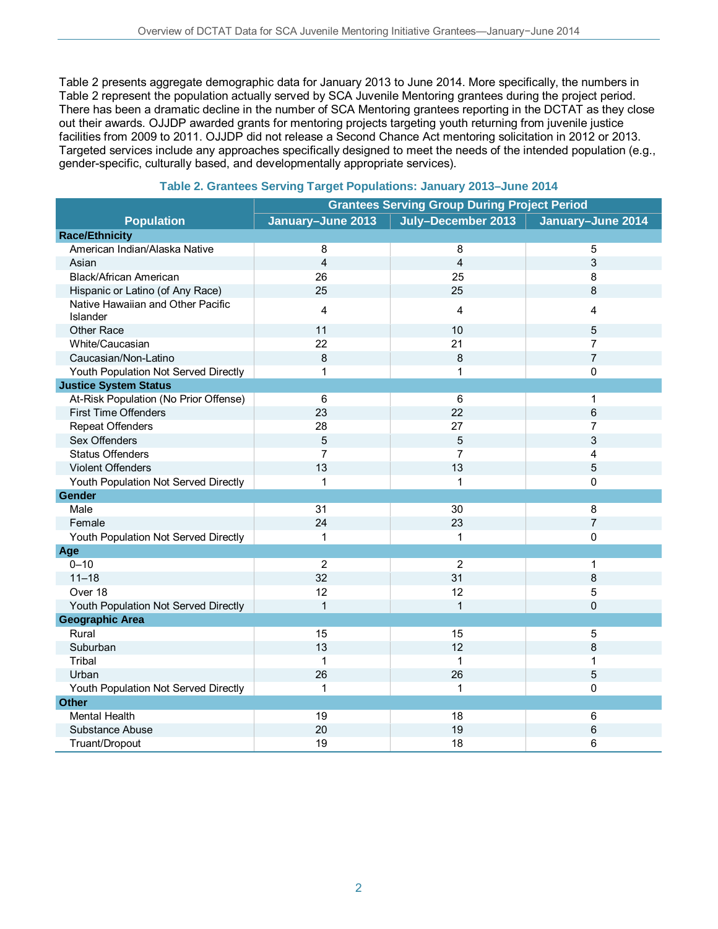Table 2 presents aggregate demographic data for January 2013 to June 2014. More specifically, the numbers in Table 2 represent the population actually served by SCA Juvenile Mentoring grantees during the project period. There has been a dramatic decline in the number of SCA Mentoring grantees reporting in the DCTAT as they close out their awards. OJJDP awarded grants for mentoring projects targeting youth returning from juvenile justice facilities from 2009 to 2011. OJJDP did not release a Second Chance Act mentoring solicitation in 2012 or 2013. Targeted services include any approaches specifically designed to meet the needs of the intended population (e.g., gender-specific, culturally based, and developmentally appropriate services).

|                                               | <b>Grantees Serving Group During Project Period</b> |                    |                   |  |
|-----------------------------------------------|-----------------------------------------------------|--------------------|-------------------|--|
| <b>Population</b>                             | January-June 2013                                   | July-December 2013 | January-June 2014 |  |
| <b>Race/Ethnicity</b>                         |                                                     |                    |                   |  |
| American Indian/Alaska Native                 | 8                                                   | 8                  | 5                 |  |
| Asian                                         | $\overline{\mathbf{4}}$                             | 4                  | 3                 |  |
| <b>Black/African American</b>                 | 26                                                  | 25                 | 8                 |  |
| Hispanic or Latino (of Any Race)              | 25                                                  | 25                 | 8                 |  |
| Native Hawaiian and Other Pacific<br>Islander | 4                                                   | 4                  | 4                 |  |
| Other Race                                    | 11                                                  | 10                 | 5                 |  |
| White/Caucasian                               | 22                                                  | 21                 | $\overline{7}$    |  |
| Caucasian/Non-Latino                          | 8                                                   | 8                  | $\overline{7}$    |  |
| Youth Population Not Served Directly          | $\mathbf{1}$                                        | 1                  | 0                 |  |
| <b>Justice System Status</b>                  |                                                     |                    |                   |  |
| At-Risk Population (No Prior Offense)         | 6                                                   | 6                  | 1                 |  |
| <b>First Time Offenders</b>                   | 23                                                  | 22                 | $6\phantom{1}6$   |  |
| <b>Repeat Offenders</b>                       | 28                                                  | 27                 | $\overline{7}$    |  |
| Sex Offenders                                 | 5                                                   | 5                  | 3                 |  |
| <b>Status Offenders</b>                       | $\overline{7}$                                      | 7                  | 4                 |  |
| <b>Violent Offenders</b>                      | 13                                                  | 13                 | 5                 |  |
| Youth Population Not Served Directly          | $\mathbf{1}$                                        | 1                  | $\Omega$          |  |
| Gender                                        |                                                     |                    |                   |  |
| Male                                          | 31                                                  | 30                 | 8                 |  |
| Female                                        | 24                                                  | 23                 | $\overline{7}$    |  |
| Youth Population Not Served Directly          | $\mathbf{1}$                                        | 1                  | $\mathbf 0$       |  |
| Age                                           |                                                     |                    |                   |  |
| $0 - 10$                                      | $\overline{2}$                                      | $\overline{2}$     | 1                 |  |
| $11 - 18$                                     | 32                                                  | 31                 | 8                 |  |
| Over 18                                       | 12                                                  | 12                 | 5                 |  |
| Youth Population Not Served Directly          | $\mathbf{1}$                                        | $\mathbf{1}$       | $\Omega$          |  |
| <b>Geographic Area</b>                        |                                                     |                    |                   |  |
| Rural                                         | 15                                                  | 15                 | 5                 |  |
| Suburban                                      | 13                                                  | 12                 | 8                 |  |
| Tribal                                        | $\mathbf{1}$                                        | $\mathbf{1}$       | 1                 |  |
| Urban                                         | 26                                                  | 26                 | 5                 |  |
| Youth Population Not Served Directly          | $\mathbf{1}$                                        | 1                  | $\mathbf 0$       |  |
| <b>Other</b>                                  |                                                     |                    |                   |  |
| <b>Mental Health</b>                          | 19                                                  | 18                 | $\,6\,$           |  |
| Substance Abuse                               | 20                                                  | 19                 | 6                 |  |
| Truant/Dropout                                | 19                                                  | 18                 | 6                 |  |

#### **Table 2. Grantees Serving Target Populations: January 2013–June 2014**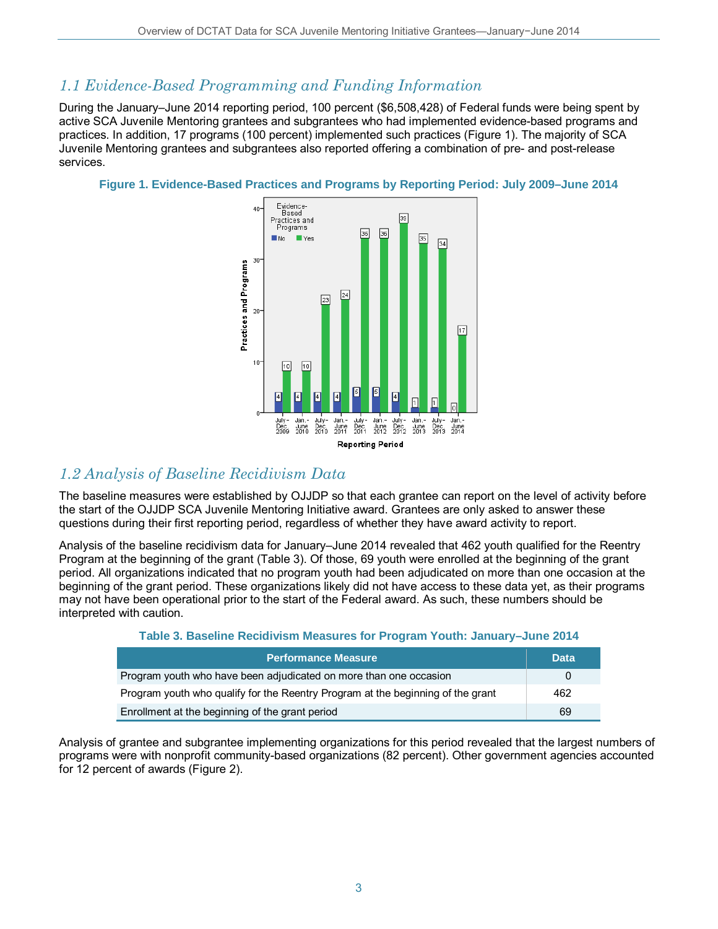# *1.1 Evidence-Based Programming and Funding Information*

During the January–June 2014 reporting period, 100 percent (\$6,508,428) of Federal funds were being spent by active SCA Juvenile Mentoring grantees and subgrantees who had implemented evidence-based programs and practices. In addition, 17 programs (100 percent) implemented such practices (Figure 1). The majority of SCA Juvenile Mentoring grantees and subgrantees also reported offering a combination of pre- and post-release services.

### **Figure 1. Evidence-Based Practices and Programs by Reporting Period: July 2009–June 2014**



# *1.2 Analysis of Baseline Recidivism Data*

The baseline measures were established by OJJDP so that each grantee can report on the level of activity before the start of the OJJDP SCA Juvenile Mentoring Initiative award. Grantees are only asked to answer these questions during their first reporting period, regardless of whether they have award activity to report.

Analysis of the baseline recidivism data for January–June 2014 revealed that 462 youth qualified for the Reentry Program at the beginning of the grant (Table 3). Of those, 69 youth were enrolled at the beginning of the grant period. All organizations indicated that no program youth had been adjudicated on more than one occasion at the beginning of the grant period. These organizations likely did not have access to these data yet, as their programs may not have been operational prior to the start of the Federal award. As such, these numbers should be interpreted with caution.

### **Table 3. Baseline Recidivism Measures for Program Youth: January–June 2014**

| <b>Performance Measure</b>                                                      | <b>Data</b>  |
|---------------------------------------------------------------------------------|--------------|
| Program youth who have been adjudicated on more than one occasion               | $\mathbf{U}$ |
| Program youth who qualify for the Reentry Program at the beginning of the grant | 462          |
| Enrollment at the beginning of the grant period                                 | 69           |

Analysis of grantee and subgrantee implementing organizations for this period revealed that the largest numbers of programs were with nonprofit community-based organizations (82 percent). Other government agencies accounted for 12 percent of awards (Figure 2).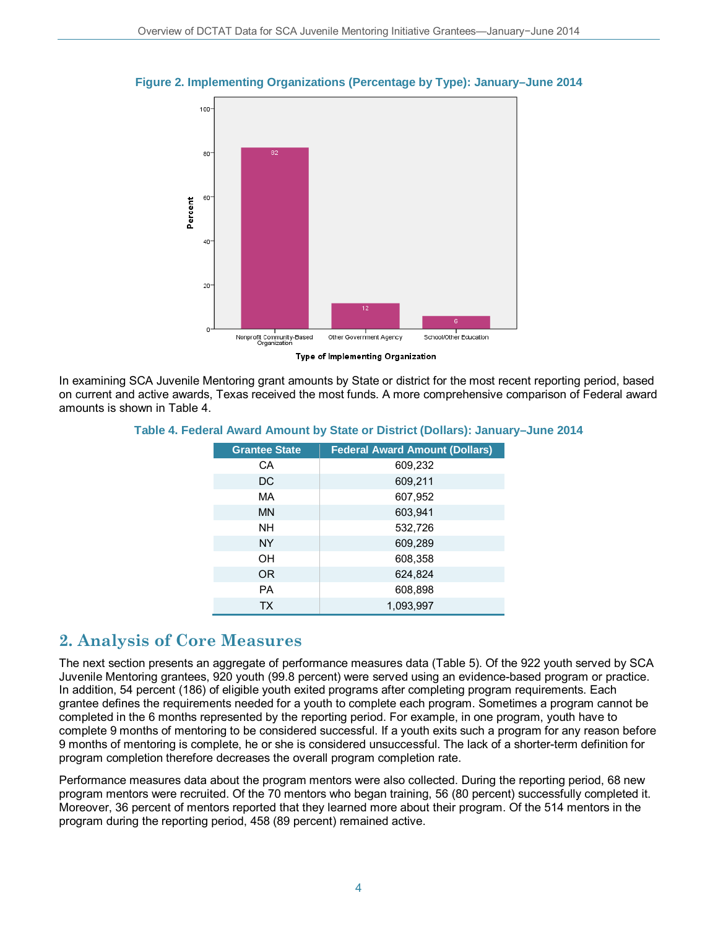

#### **Figure 2. Implementing Organizations (Percentage by Type): January–June 2014**

In examining SCA Juvenile Mentoring grant amounts by State or district for the most recent reporting period, based on current and active awards, Texas received the most funds. A more comprehensive comparison of Federal award amounts is shown in Table 4.

| Table 4. Federal Award Amount by State or District (Dollars): January–June 2014 |  |  |  |
|---------------------------------------------------------------------------------|--|--|--|
|---------------------------------------------------------------------------------|--|--|--|

| <b>Grantee State</b> | <b>Federal Award Amount (Dollars)</b> |
|----------------------|---------------------------------------|
| СA                   | 609,232                               |
| DC                   | 609,211                               |
| MA                   | 607,952                               |
| MN                   | 603,941                               |
| <b>NH</b>            | 532,726                               |
| <b>NY</b>            | 609,289                               |
| OН                   | 608,358                               |
| <b>OR</b>            | 624,824                               |
| <b>PA</b>            | 608,898                               |
| <b>TX</b>            | 1,093,997                             |

## **2. Analysis of Core Measures**

The next section presents an aggregate of performance measures data (Table 5). Of the 922 youth served by SCA Juvenile Mentoring grantees, 920 youth (99.8 percent) were served using an evidence-based program or practice. In addition, 54 percent (186) of eligible youth exited programs after completing program requirements. Each grantee defines the requirements needed for a youth to complete each program. Sometimes a program cannot be completed in the 6 months represented by the reporting period. For example, in one program, youth have to complete 9 months of mentoring to be considered successful. If a youth exits such a program for any reason before 9 months of mentoring is complete, he or she is considered unsuccessful. The lack of a shorter-term definition for program completion therefore decreases the overall program completion rate.

Performance measures data about the program mentors were also collected. During the reporting period, 68 new program mentors were recruited. Of the 70 mentors who began training, 56 (80 percent) successfully completed it. Moreover, 36 percent of mentors reported that they learned more about their program. Of the 514 mentors in the program during the reporting period, 458 (89 percent) remained active.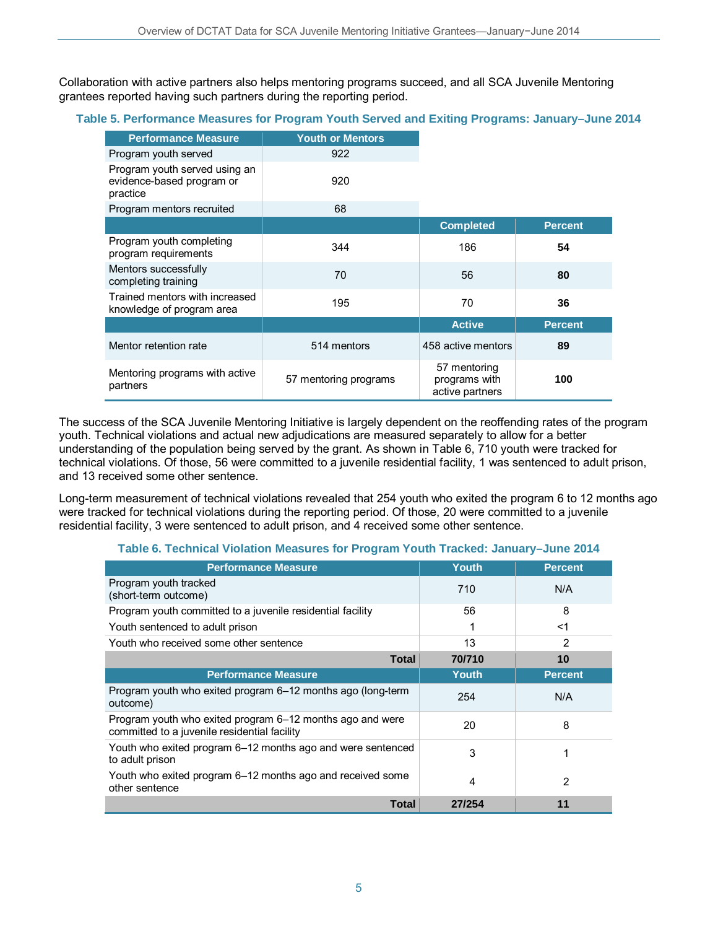Collaboration with active partners also helps mentoring programs succeed, and all SCA Juvenile Mentoring grantees reported having such partners during the reporting period.

### **Table 5. Performance Measures for Program Youth Served and Exiting Programs: January–June 2014**

| <b>Performance Measure</b>                                             | <b>Youth or Mentors</b> |                                                  |                |
|------------------------------------------------------------------------|-------------------------|--------------------------------------------------|----------------|
| Program youth served                                                   | 922                     |                                                  |                |
| Program youth served using an<br>evidence-based program or<br>practice | 920                     |                                                  |                |
| Program mentors recruited                                              | 68                      |                                                  |                |
|                                                                        |                         | <b>Completed</b>                                 | <b>Percent</b> |
| Program youth completing<br>program requirements                       | 344                     | 186                                              | 54             |
| Mentors successfully<br>completing training                            | 70                      | 56                                               | 80             |
| Trained mentors with increased<br>knowledge of program area            | 195                     | 70                                               | 36             |
|                                                                        |                         | <b>Active</b>                                    | <b>Percent</b> |
| Mentor retention rate                                                  | 514 mentors             | 458 active mentors                               | 89             |
| Mentoring programs with active<br>partners                             | 57 mentoring programs   | 57 mentoring<br>programs with<br>active partners | 100            |

The success of the SCA Juvenile Mentoring Initiative is largely dependent on the reoffending rates of the program youth. Technical violations and actual new adjudications are measured separately to allow for a better understanding of the population being served by the grant. As shown in Table 6, 710 youth were tracked for technical violations. Of those, 56 were committed to a juvenile residential facility, 1 was sentenced to adult prison, and 13 received some other sentence.

Long-term measurement of technical violations revealed that 254 youth who exited the program 6 to 12 months ago were tracked for technical violations during the reporting period. Of those, 20 were committed to a juvenile residential facility, 3 were sentenced to adult prison, and 4 received some other sentence.

| <b>Performance Measure</b>                                                                                | Youth        | <b>Percent</b> |
|-----------------------------------------------------------------------------------------------------------|--------------|----------------|
| Program youth tracked<br>(short-term outcome)                                                             | 710          | N/A            |
| Program youth committed to a juvenile residential facility                                                | 56           | 8              |
| Youth sentenced to adult prison                                                                           | 1            | $<$ 1          |
| Youth who received some other sentence                                                                    | 13           | $\overline{2}$ |
| <b>Total</b>                                                                                              | 70/710       | 10             |
| <b>Performance Measure</b>                                                                                | <b>Youth</b> | <b>Percent</b> |
| Program youth who exited program 6–12 months ago (long-term<br>outcome)                                   | 254          | N/A            |
| Program youth who exited program 6–12 months ago and were<br>committed to a juvenile residential facility | 20           | 8              |
| Youth who exited program 6–12 months ago and were sentenced<br>to adult prison                            | 3            |                |
| Youth who exited program 6-12 months ago and received some<br>other sentence                              | 4            | 2              |
| Total                                                                                                     | 27/254       | 11             |

### **Table 6. Technical Violation Measures for Program Youth Tracked: January–June 2014**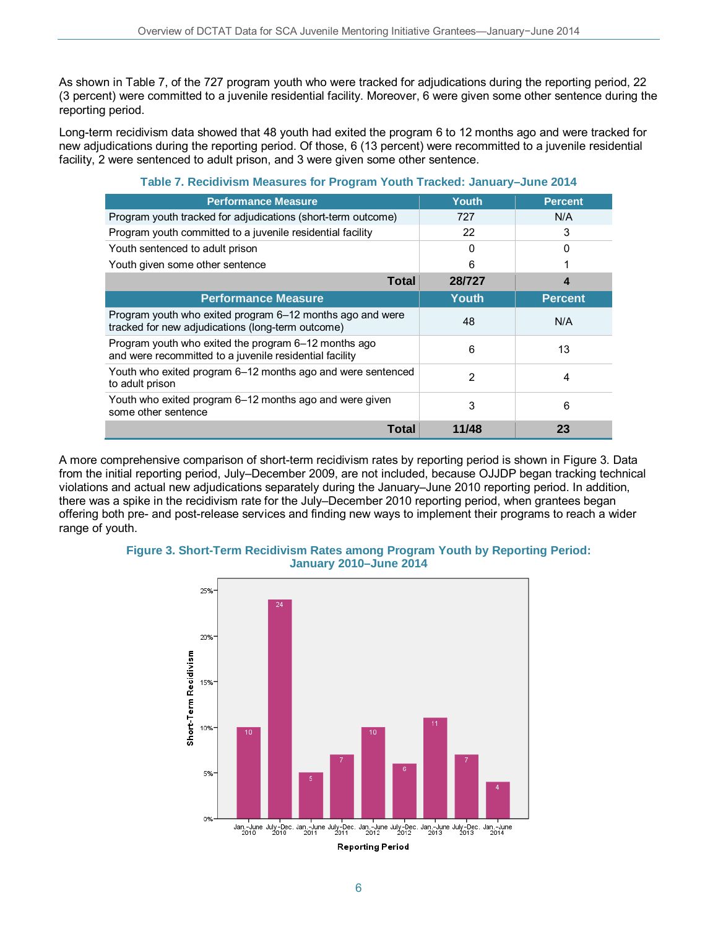As shown in Table 7, of the 727 program youth who were tracked for adjudications during the reporting period, 22 (3 percent) were committed to a juvenile residential facility. Moreover, 6 were given some other sentence during the reporting period.

Long-term recidivism data showed that 48 youth had exited the program 6 to 12 months ago and were tracked for new adjudications during the reporting period. Of those, 6 (13 percent) were recommitted to a juvenile residential facility, 2 were sentenced to adult prison, and 3 were given some other sentence.

| <b>Performance Measure</b>                                                                                      | Youth        | <b>Percent</b> |
|-----------------------------------------------------------------------------------------------------------------|--------------|----------------|
| Program youth tracked for adjudications (short-term outcome)                                                    | 727          | N/A            |
| Program youth committed to a juvenile residential facility                                                      | 22           | 3              |
| Youth sentenced to adult prison                                                                                 | <sup>0</sup> | $\Omega$       |
| Youth given some other sentence                                                                                 | 6            |                |
| <b>Total</b>                                                                                                    | 28/727       | 4              |
| <b>Performance Measure</b>                                                                                      | Youth        | <b>Percent</b> |
| Program youth who exited program 6–12 months ago and were<br>tracked for new adjudications (long-term outcome)  | 48           | N/A            |
| Program youth who exited the program 6-12 months ago<br>and were recommitted to a juvenile residential facility | 6            | 13             |
| Youth who exited program 6-12 months ago and were sentenced<br>to adult prison                                  | 2            | 4              |
| Youth who exited program 6–12 months ago and were given<br>some other sentence                                  | 3            | 6              |
| Total                                                                                                           | 11/48        | 23             |

#### **Table 7. Recidivism Measures for Program Youth Tracked: January–June 2014**

A more comprehensive comparison of short-term recidivism rates by reporting period is shown in Figure 3. Data from the initial reporting period, July–December 2009, are not included, because OJJDP began tracking technical violations and actual new adjudications separately during the January–June 2010 reporting period. In addition, there was a spike in the recidivism rate for the July–December 2010 reporting period, when grantees began offering both pre- and post-release services and finding new ways to implement their programs to reach a wider range of youth.



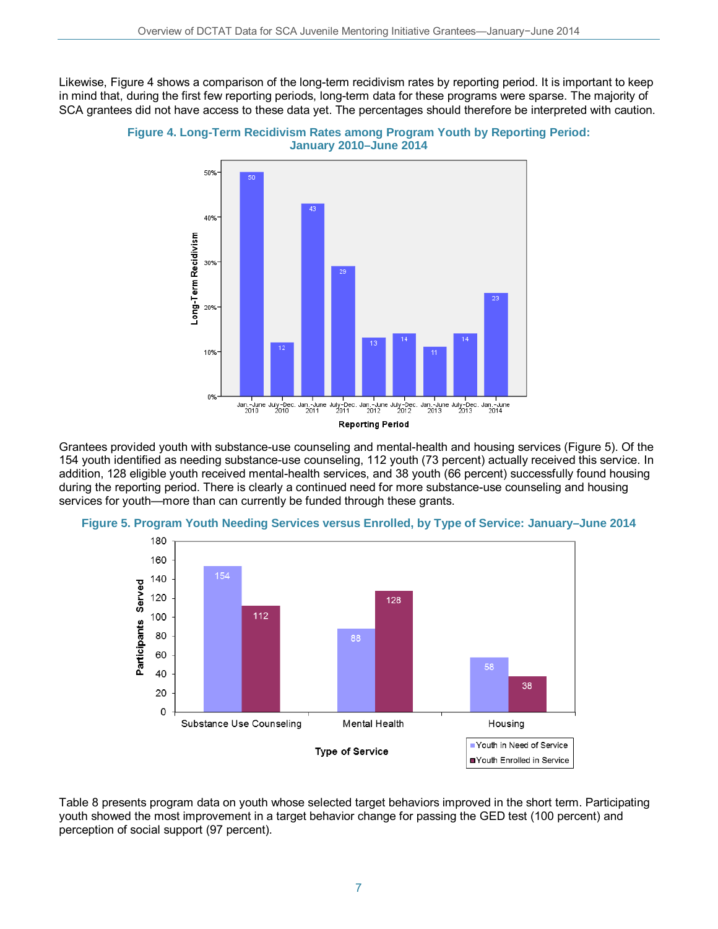Likewise, Figure 4 shows a comparison of the long-term recidivism rates by reporting period. It is important to keep in mind that, during the first few reporting periods, long-term data for these programs were sparse. The majority of SCA grantees did not have access to these data yet. The percentages should therefore be interpreted with caution.





Grantees provided youth with substance-use counseling and mental-health and housing services (Figure 5). Of the 154 youth identified as needing substance-use counseling, 112 youth (73 percent) actually received this service. In addition, 128 eligible youth received mental-health services, and 38 youth (66 percent) successfully found housing during the reporting period. There is clearly a continued need for more substance-use counseling and housing services for youth—more than can currently be funded through these grants.



**Figure 5. Program Youth Needing Services versus Enrolled, by Type of Service: January–June 2014** 

Table 8 presents program data on youth whose selected target behaviors improved in the short term. Participating youth showed the most improvement in a target behavior change for passing the GED test (100 percent) and perception of social support (97 percent).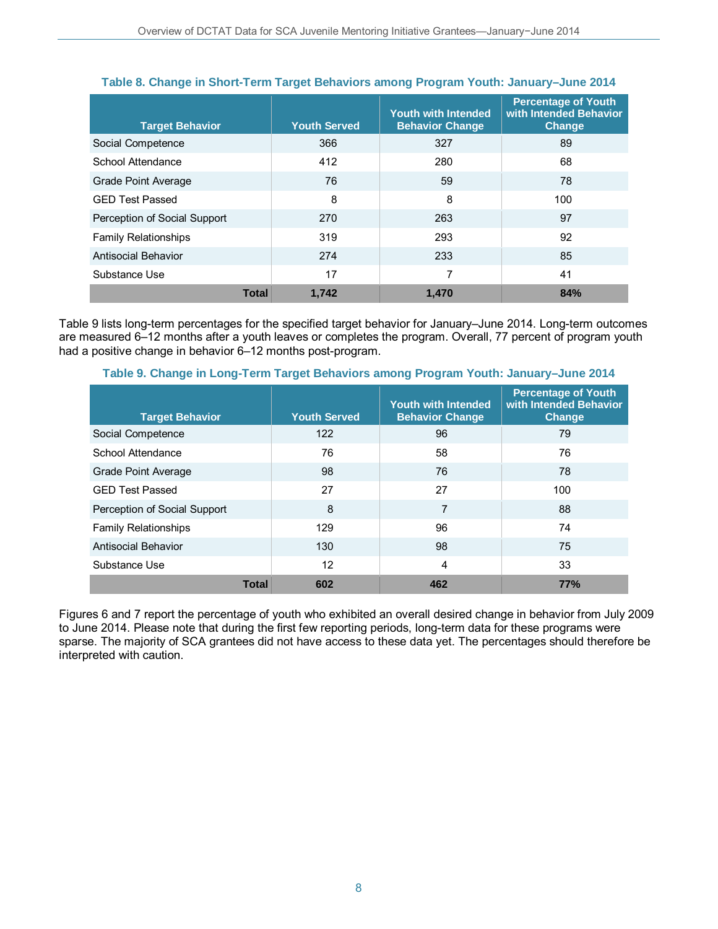| <b>Target Behavior</b>       |              | <b>Youth Served</b> | <b>Youth with Intended</b><br><b>Behavior Change</b> | <b>Percentage of Youth</b><br>with Intended Behavior<br>Change |
|------------------------------|--------------|---------------------|------------------------------------------------------|----------------------------------------------------------------|
| Social Competence            |              | 366                 | 327                                                  | 89                                                             |
| School Attendance            |              | 412                 | 280                                                  | 68                                                             |
| Grade Point Average          |              | 76                  | 59                                                   | 78                                                             |
| <b>GED Test Passed</b>       |              | 8                   | 8                                                    | 100                                                            |
| Perception of Social Support |              | 270                 | 263                                                  | 97                                                             |
| <b>Family Relationships</b>  |              | 319                 | 293                                                  | 92                                                             |
| Antisocial Behavior          |              | 274                 | 233                                                  | 85                                                             |
| Substance Use                |              | 17                  | 7                                                    | 41                                                             |
|                              | <b>Total</b> | 1,742               | 1.470                                                | 84%                                                            |

### **Table 8. Change in Short-Term Target Behaviors among Program Youth: January–June 2014**

Table 9 lists long-term percentages for the specified target behavior for January–June 2014. Long-term outcomes are measured 6–12 months after a youth leaves or completes the program. Overall, 77 percent of program youth had a positive change in behavior 6–12 months post-program.

| <b>Target Behavior</b>       |              | <b>Youth Served</b> | <b>Youth with Intended</b><br><b>Behavior Change</b> | <b>Percentage of Youth</b><br>with Intended Behavior<br>Change |
|------------------------------|--------------|---------------------|------------------------------------------------------|----------------------------------------------------------------|
| Social Competence            |              | 122                 | 96                                                   | 79                                                             |
| School Attendance            |              | 76                  | 58                                                   | 76                                                             |
| Grade Point Average          |              | 98                  | 76                                                   | 78                                                             |
| <b>GED Test Passed</b>       |              | 27                  | 27                                                   | 100                                                            |
| Perception of Social Support |              | 8                   | 7                                                    | 88                                                             |
| <b>Family Relationships</b>  |              | 129                 | 96                                                   | 74                                                             |
| <b>Antisocial Behavior</b>   |              | 130                 | 98                                                   | 75                                                             |
| Substance Use                |              | 12                  | 4                                                    | 33                                                             |
|                              | <b>Total</b> | 602                 | 462                                                  | <b>77%</b>                                                     |

#### **Table 9. Change in Long-Term Target Behaviors among Program Youth: January–June 2014**

Figures 6 and 7 report the percentage of youth who exhibited an overall desired change in behavior from July 2009 to June 2014. Please note that during the first few reporting periods, long-term data for these programs were sparse. The majority of SCA grantees did not have access to these data yet. The percentages should therefore be interpreted with caution.